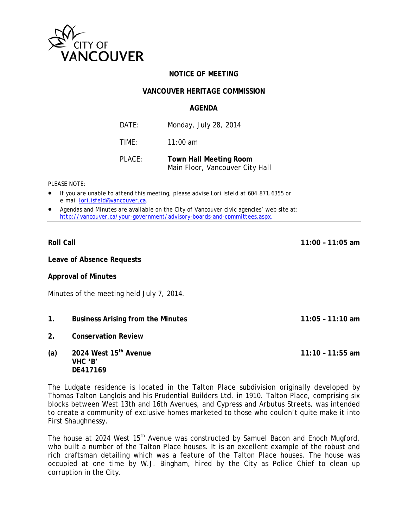

## **NOTICE OF MEETING**

#### **VANCOUVER HERITAGE COMMISSION**

#### **AGFNDA**

| DATE:  | Monday, July 28, 2014                                            |
|--------|------------------------------------------------------------------|
| TIME:  | $11:00$ am                                                       |
| PLACE: | <b>Town Hall Meeting Room</b><br>Main Floor, Vancouver City Hall |

PLEASE NOTE:

- If you are unable to attend this meeting, please advise Lori Isfeld at 604.871.6355 or e.mail lori.isfeld@vancouver.ca.
- Agendas and Minutes are available on the City of Vancouver civic agencies' web site at: http://vancouver.ca/your-government/advisory-boards-and-committees.aspx.

**Roll Call** 

Leave of Absence Requests

**Approval of Minutes** 

Minutes of the meeting held July 7, 2014.

- $1<sup>1</sup>$ **Business Arising from the Minutes**
- $2<sup>1</sup>$ **Conservation Review**
- 2024 West 15<sup>th</sup> Avenue  $(a)$ VHC 'B' DE417169

The Ludgate residence is located in the Talton Place subdivision originally developed by Thomas Talton Langlois and his Prudential Builders Ltd. in 1910. Talton Place, comprising six blocks between West 13th and 16th Avenues, and Cypress and Arbutus Streets, was intended to create a community of exclusive homes marketed to those who couldn't quite make it into First Shaughnessy.

The house at 2024 West 15<sup>th</sup> Avenue was constructed by Samuel Bacon and Enoch Mugford, who built a number of the Talton Place houses. It is an excellent example of the robust and rich craftsman detailing which was a feature of the Talton Place houses. The house was occupied at one time by W.J. Bingham, hired by the City as Police Chief to clean up corruption in the City.

 $11:00 - 11:05$  am

 $11:05 - 11:10$  am

 $11:10 - 11:55$  am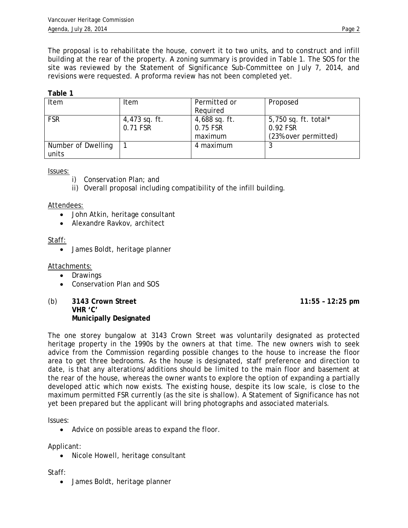The proposal is to rehabilitate the house, convert it to two units, and to construct and infill building at the rear of the property. A zoning summary is provided in Table 1. The SOS for the site was reviewed by the Statement of Significance Sub-Committee on July 7, 2014, and revisions were requested. A proforma review has not been completed yet.

## **Table 1**

| Item               | Item          | Permitted or    | Proposed             |
|--------------------|---------------|-----------------|----------------------|
|                    |               | Required        |                      |
| <b>FSR</b>         | 4,473 sq. ft. | $4,688$ sq. ft. | 5,750 sq. ft. total* |
|                    | 0.71 FSR      | 0.75 FSR        | 0.92 FSR             |
|                    |               | maximum         | (23% over permitted) |
| Number of Dwelling |               | 4 maximum       |                      |
| units              |               |                 |                      |

Issues:

- i) Conservation Plan; and
- ii) Overall proposal including compatibility of the infill building.

Attendees:

- John Atkin, heritage consultant
- Alexandre Ravkov, architect

Staff:

• James Boldt, heritage planner

Attachments:

- Drawings
- Conservation Plan and SOS
- (b) 3143 Crown Street 11:55 12:25 pm **VHR 'C' Municipally Designated**

The one storey bungalow at 3143 Crown Street was voluntarily designated as protected heritage property in the 1990s by the owners at that time. The new owners wish to seek advice from the Commission regarding possible changes to the house to increase the floor area to get three bedrooms. As the house is designated, staff preference and direction to date, is that any alterations/additions should be limited to the main floor and basement at the rear of the house, whereas the owner wants to explore the option of expanding a partially developed attic which now exists. The existing house, despite its low scale, is close to the maximum permitted FSR currently (as the site is shallow). A Statement of Significance has not yet been prepared but the applicant will bring photographs and associated materials.

Issues:

• Advice on possible areas to expand the floor.

Applicant:

• Nicole Howell, heritage consultant

Staff:

• James Boldt, heritage planner